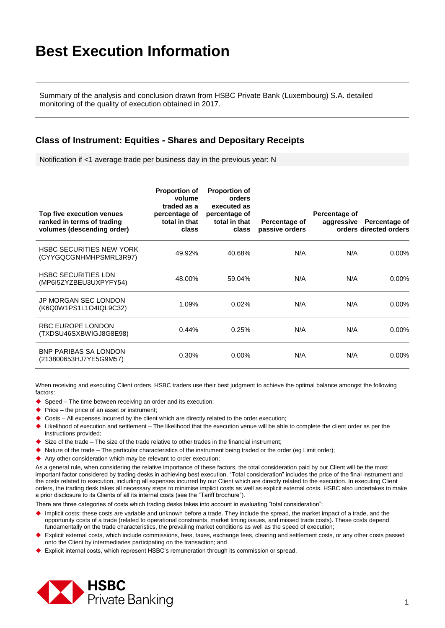Summary of the analysis and conclusion drawn from HSBC Private Bank (Luxembourg) S.A. detailed monitoring of the quality of execution obtained in 2017.

#### **Class of Instrument: Equities - Shares and Depositary Receipts**

Notification if <1 average trade per business day in the previous year: N

| Top five execution venues<br>ranked in terms of trading<br>volumes (descending order) | <b>Proportion of</b><br>volume<br>traded as a<br>percentage of<br>total in that<br>class | <b>Proportion of</b><br>orders<br>executed as<br>percentage of<br>total in that<br>class | Percentage of<br>passive orders | Percentage of<br>aggressive | Percentage of<br>orders directed orders |
|---------------------------------------------------------------------------------------|------------------------------------------------------------------------------------------|------------------------------------------------------------------------------------------|---------------------------------|-----------------------------|-----------------------------------------|
| <b>HSBC SECURITIES NEW YORK</b><br>(CYYGQCGNHMHPSMRL3R97)                             | 49.92%                                                                                   | 40.68%                                                                                   | N/A                             | N/A                         | $0.00\%$                                |
| <b>HSBC SECURITIES LDN</b><br>(MP6I5ZYZBEU3UXPYFY54)                                  | 48.00%                                                                                   | 59.04%                                                                                   | N/A                             | N/A                         | $0.00\%$                                |
| <b>JP MORGAN SEC LONDON</b><br>(K6Q0W1PS1L1O4IQL9C32)                                 | 1.09%                                                                                    | 0.02%                                                                                    | N/A                             | N/A                         | $0.00\%$                                |
| RBC EUROPE LONDON<br>(TXDSU46SXBWIGJ8G8E98)                                           | 0.44%                                                                                    | 0.25%                                                                                    | N/A                             | N/A                         | $0.00\%$                                |
| <b>BNP PARIBAS SA LONDON</b><br>(213800653HJ7YE5G9M57)                                | 0.30%                                                                                    | $0.00\%$                                                                                 | N/A                             | N/A                         | $0.00\%$                                |

When receiving and executing Client orders, HSBC traders use their best judgment to achieve the optimal balance amongst the following factors:

- Speed The time between receiving an order and its execution;
- $\blacklozenge$  Price the price of an asset or instrument;
- Costs All expenses incurred by the client which are directly related to the order execution;
- Likelihood of execution and settlement The likelihood that the execution venue will be able to complete the client order as per the instructions provided;
- $\blacklozenge$  Size of the trade The size of the trade relative to other trades in the financial instrument;
- $\blacklozenge$  Nature of the trade The particular characteristics of the instrument being traded or the order (eg Limit order);
- Any other consideration which may be relevant to order execution;

As a general rule, when considering the relative importance of these factors, the total consideration paid by our Client will be the most important factor considered by trading desks in achieving best execution. "Total consideration" includes the price of the final instrument and the costs related to execution, including all expenses incurred by our Client which are directly related to the execution. In executing Client orders, the trading desk takes all necessary steps to minimise implicit costs as well as explicit external costs. HSBC also undertakes to make a prior disclosure to its Clients of all its internal costs (see the "Tariff brochure").

- Implicit costs: these costs are variable and unknown before a trade. They include the spread, the market impact of a trade, and the opportunity costs of a trade (related to operational constraints, market timing issues, and missed trade costs). These costs depend fundamentally on the trade characteristics, the prevailing market conditions as well as the speed of execution;
- Explicit external costs, which include commissions, fees, taxes, exchange fees, clearing and settlement costs, or any other costs passed onto the Client by intermediaries participating on the transaction; and
- Explicit internal costs, which represent HSBC's remuneration through its commission or spread.

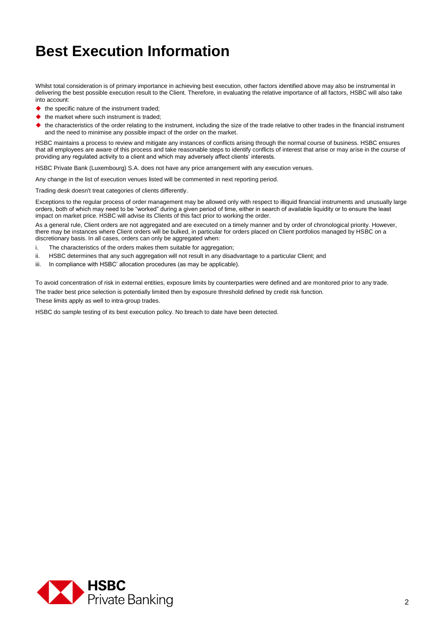Whilst total consideration is of primary importance in achieving best execution, other factors identified above may also be instrumental in delivering the best possible execution result to the Client. Therefore, in evaluating the relative importance of all factors, HSBC will also take into account:

- $\blacklozenge$  the specific nature of the instrument traded;
- $\blacklozenge$  the market where such instrument is traded;
- the characteristics of the order relating to the instrument, including the size of the trade relative to other trades in the financial instrument and the need to minimise any possible impact of the order on the market.

HSBC maintains a process to review and mitigate any instances of conflicts arising through the normal course of business. HSBC ensures that all employees are aware of this process and take reasonable steps to identify conflicts of interest that arise or may arise in the course of providing any regulated activity to a client and which may adversely affect clients' interests.

HSBC Private Bank (Luxembourg) S.A. does not have any price arrangement with any execution venues.

Any change in the list of execution venues listed will be commented in next reporting period.

Trading desk doesn't treat categories of clients differently.

Exceptions to the regular process of order management may be allowed only with respect to illiquid financial instruments and unusually large orders, both of which may need to be "worked" during a given period of time, either in search of available liquidity or to ensure the least impact on market price. HSBC will advise its Clients of this fact prior to working the order.

As a general rule, Client orders are not aggregated and are executed on a timely manner and by order of chronological priority. However, there may be instances where Client orders will be bulked, in particular for orders placed on Client portfolios managed by HSBC on a discretionary basis. In all cases, orders can only be aggregated when:

- i. The characteristics of the orders makes them suitable for aggregation;
- ii. HSBC determines that any such aggregation will not result in any disadvantage to a particular Client; and
- iii. In compliance with HSBC' allocation procedures (as may be applicable).

To avoid concentration of risk in external entities, exposure limits by counterparties were defined and are monitored prior to any trade. The trader best price selection is potentially limited then by exposure threshold defined by credit risk function.

These limits apply as well to intra-group trades.

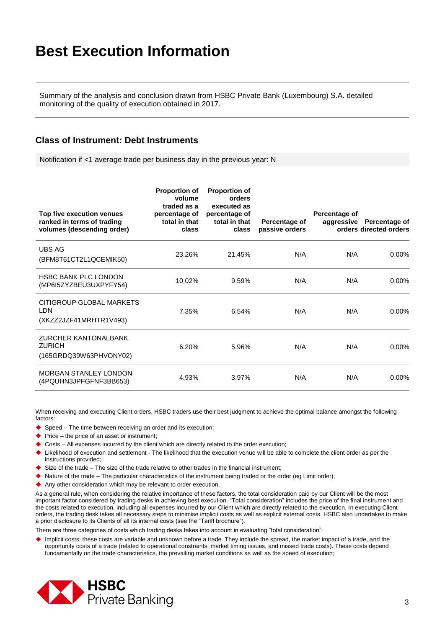Summary of the analysis and conclusion drawn from HSBC Private Bank (Luxembourg) S.A. detailed monitoring of the quality of execution obtained in 2017.

#### **Class of Instrument: Debt Instruments**

Notification if <1 average trade per business day in the previous year: N

| Top five execution venues<br>ranked in terms of trading<br>volumes (descending order) | <b>Proportion of</b><br>volume<br>traded as a<br>percentage of<br>total in that<br>class | <b>Proportion of</b><br>orders<br>executed as<br>percentage of<br>total in that<br>class | Percentage of<br>passive orders | Percentage of<br>aggressive | Percentage of<br>orders directed orders |
|---------------------------------------------------------------------------------------|------------------------------------------------------------------------------------------|------------------------------------------------------------------------------------------|---------------------------------|-----------------------------|-----------------------------------------|
| <b>UBS AG</b><br>(BFM8T61CT2L1QCEMIK50)                                               | 23.26%                                                                                   | 21.45%                                                                                   | N/A                             | N/A                         | $0.00\%$                                |
| <b>HSBC BANK PLC LONDON</b><br>(MP6I5ZYZBEU3UXPYFY54)                                 | 10.02%                                                                                   | 9.59%                                                                                    | N/A                             | N/A                         | $0.00\%$                                |
| CITIGROUP GLOBAL MARKETS<br>LDN<br>(XKZZ2JZF41MRHTR1V493)                             | 7.35%                                                                                    | 6.54%                                                                                    | N/A                             | N/A                         | $0.00\%$                                |
| <b>ZURCHER KANTONALBANK</b><br><b>ZURICH</b><br>(165GRDQ39W63PHVONY02)                | 6.20%                                                                                    | 5.96%                                                                                    | N/A                             | N/A                         | $0.00\%$                                |
| <b>MORGAN STANLEY LONDON</b><br>(4PQUHN3JPFGFNF3BB653)                                | 4.93%                                                                                    | 3.97%                                                                                    | N/A                             | N/A                         | $0.00\%$                                |

When receiving and executing Client orders, HSBC traders use their best judgment to achieve the optimal balance amongst the following factors:

- ◆ Speed The time between receiving an order and its execution;
- $\blacktriangleright$  Price the price of an asset or instrument;
- Costs All expenses incurred by the client which are directly related to the order execution;
- Likelihood of execution and settlement The likelihood that the execution venue will be able to complete the client order as per the instructions provided;
- $\blacklozenge$  Size of the trade The size of the trade relative to other trades in the financial instrument;
- Nature of the trade The particular characteristics of the instrument being traded or the order (eg Limit order);
- Any other consideration which may be relevant to order execution.

As a general rule, when considering the relative importance of these factors, the total consideration paid by our Client will be the most important factor considered by trading desks in achieving best execution. "Total consideration" includes the price of the final instrument and the costs related to execution, including all expenses incurred by our Client which are directly related to the execution. In executing Client orders, the trading desk takes all necessary steps to minimise implicit costs as well as explicit external costs. HSBC also undertakes to make a prior disclosure to its Clients of all its internal costs (see the "Tariff brochure").

There are three categories of costs which trading desks takes into account in evaluating "total consideration":

 Implicit costs: these costs are variable and unknown before a trade. They include the spread, the market impact of a trade, and the opportunity costs of a trade (related to operational constraints, market timing issues, and missed trade costs). These costs depend fundamentally on the trade characteristics, the prevailing market conditions as well as the speed of execution;

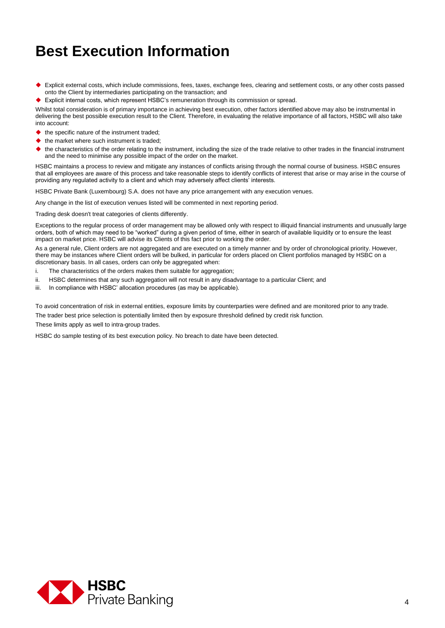- Explicit external costs, which include commissions, fees, taxes, exchange fees, clearing and settlement costs, or any other costs passed onto the Client by intermediaries participating on the transaction; and
- Explicit internal costs, which represent HSBC's remuneration through its commission or spread.

Whilst total consideration is of primary importance in achieving best execution, other factors identified above may also be instrumental in delivering the best possible execution result to the Client. Therefore, in evaluating the relative importance of all factors, HSBC will also take into account:

- $\blacklozenge$  the specific nature of the instrument traded;
- $\triangle$  the market where such instrument is traded:
- the characteristics of the order relating to the instrument, including the size of the trade relative to other trades in the financial instrument and the need to minimise any possible impact of the order on the market.

HSBC maintains a process to review and mitigate any instances of conflicts arising through the normal course of business. HSBC ensures that all employees are aware of this process and take reasonable steps to identify conflicts of interest that arise or may arise in the course of providing any regulated activity to a client and which may adversely affect clients' interests.

HSBC Private Bank (Luxembourg) S.A. does not have any price arrangement with any execution venues.

Any change in the list of execution venues listed will be commented in next reporting period.

Trading desk doesn't treat categories of clients differently.

Exceptions to the regular process of order management may be allowed only with respect to illiquid financial instruments and unusually large orders, both of which may need to be "worked" during a given period of time, either in search of available liquidity or to ensure the least impact on market price. HSBC will advise its Clients of this fact prior to working the order.

As a general rule, Client orders are not aggregated and are executed on a timely manner and by order of chronological priority. However, there may be instances where Client orders will be bulked, in particular for orders placed on Client portfolios managed by HSBC on a discretionary basis. In all cases, orders can only be aggregated when:

- i. The characteristics of the orders makes them suitable for aggregation;
- ii. HSBC determines that any such aggregation will not result in any disadvantage to a particular Client; and
- iii. In compliance with HSBC' allocation procedures (as may be applicable).

To avoid concentration of risk in external entities, exposure limits by counterparties were defined and are monitored prior to any trade. The trader best price selection is potentially limited then by exposure threshold defined by credit risk function. These limits apply as well to intra-group trades.

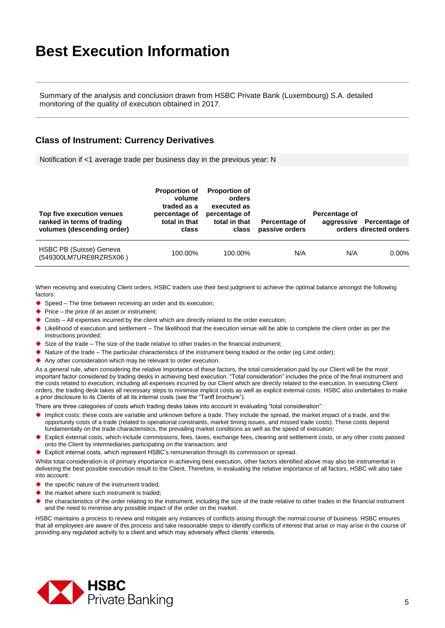Summary of the analysis and conclusion drawn from HSBC Private Bank (Luxembourg) S.A. detailed monitoring of the quality of execution obtained in 2017.

#### **Class of Instrument: Currency Derivatives**

Notification if <1 average trade per business day in the previous year: N

| Top five execution venues<br>ranked in terms of trading<br>volumes (descending order) | <b>Proportion of</b><br>volume<br>traded as a<br>percentage of<br>total in that<br>class | <b>Proportion of</b><br>orders<br>executed as<br>percentage of<br>total in that<br>class | Percentage of<br>passive orders | Percentage of | aggressive Percentage of<br>orders directed orders |
|---------------------------------------------------------------------------------------|------------------------------------------------------------------------------------------|------------------------------------------------------------------------------------------|---------------------------------|---------------|----------------------------------------------------|
| HSBC PB (Suisse) Geneva<br>(549300LM7URE8RZR5X06)                                     | 100.00%                                                                                  | 100.00%                                                                                  | N/A                             | N/A           | $0.00\%$                                           |

When receiving and executing Client orders, HSBC traders use their best judgment to achieve the optimal balance amongst the following factors:

- $\blacklozenge$  Speed The time between receiving an order and its execution;
- $\blacktriangleright$  Price the price of an asset or instrument:
- Costs All expenses incurred by the client which are directly related to the order execution;
- Likelihood of execution and settlement The likelihood that the execution venue will be able to complete the client order as per the instructions provided;
- $\blacklozenge$  Size of the trade The size of the trade relative to other trades in the financial instrument;
- $\blacktriangleright$  Nature of the trade The particular characteristics of the instrument being traded or the order (eq Limit order);
- Any other consideration which may be relevant to order execution.

As a general rule, when considering the relative importance of these factors, the total consideration paid by our Client will be the most important factor considered by trading desks in achieving best execution. "Total consideration" includes the price of the final instrument and the costs related to execution, including all expenses incurred by our Client which are directly related to the execution. In executing Client orders, the trading desk takes all necessary steps to minimise implicit costs as well as explicit external costs. HSBC also undertakes to make a prior disclosure to its Clients of all its internal costs (see the "Tariff brochure").

There are three categories of costs which trading desks takes into account in evaluating "total consideration":

- Implicit costs: these costs are variable and unknown before a trade. They include the spread, the market impact of a trade, and the opportunity costs of a trade (related to operational constraints, market timing issues, and missed trade costs). These costs depend fundamentally on the trade characteristics, the prevailing market conditions as well as the speed of execution;
- Explicit external costs, which include commissions, fees, taxes, exchange fees, clearing and settlement costs, or any other costs passed onto the Client by intermediaries participating on the transaction; and
- Explicit internal costs, which represent HSBC's remuneration through its commission or spread.

Whilst total consideration is of primary importance in achieving best execution, other factors identified above may also be instrumental in delivering the best possible execution result to the Client. Therefore, in evaluating the relative importance of all factors, HSBC will also take into account:

- the specific nature of the instrument traded;
- the market where such instrument is traded;
- the characteristics of the order relating to the instrument, including the size of the trade relative to other trades in the financial instrument and the need to minimise any possible impact of the order on the market.

HSBC maintains a process to review and mitigate any instances of conflicts arising through the normal course of business. HSBC ensures that all employees are aware of this process and take reasonable steps to identify conflicts of interest that arise or may arise in the course of providing any regulated activity to a client and which may adversely affect clients' interests.

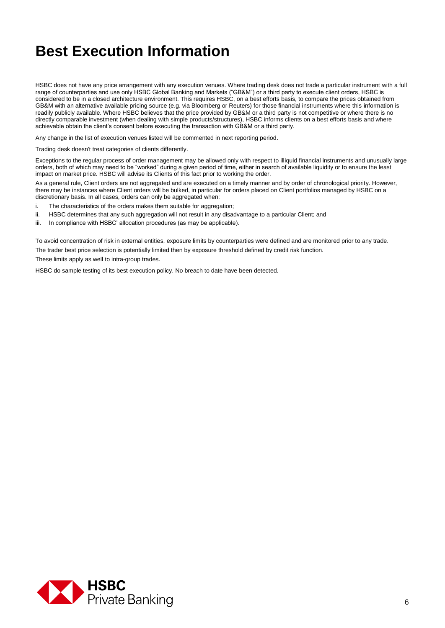HSBC does not have any price arrangement with any execution venues. Where trading desk does not trade a particular instrument with a full range of counterparties and use only HSBC Global Banking and Markets ("GB&M") or a third party to execute client orders, HSBC is considered to be in a closed architecture environment. This requires HSBC, on a best efforts basis, to compare the prices obtained from GB&M with an alternative available pricing source (e.g. via Bloomberg or Reuters) for those financial instruments where this information is readily publicly available. Where HSBC believes that the price provided by GB&M or a third party is not competitive or where there is no directly comparable investment (when dealing with simple products/structures), HSBC informs clients on a best efforts basis and where achievable obtain the client's consent before executing the transaction with GB&M or a third party.

Any change in the list of execution venues listed will be commented in next reporting period.

Trading desk doesn't treat categories of clients differently.

Exceptions to the regular process of order management may be allowed only with respect to illiquid financial instruments and unusually large orders, both of which may need to be "worked" during a given period of time, either in search of available liquidity or to ensure the least impact on market price. HSBC will advise its Clients of this fact prior to working the order.

As a general rule, Client orders are not aggregated and are executed on a timely manner and by order of chronological priority. However, there may be instances where Client orders will be bulked, in particular for orders placed on Client portfolios managed by HSBC on a discretionary basis. In all cases, orders can only be aggregated when:

- i. The characteristics of the orders makes them suitable for aggregation;
- ii. HSBC determines that any such aggregation will not result in any disadvantage to a particular Client; and
- iii. In compliance with HSBC' allocation procedures (as may be applicable).

To avoid concentration of risk in external entities, exposure limits by counterparties were defined and are monitored prior to any trade. The trader best price selection is potentially limited then by exposure threshold defined by credit risk function. These limits apply as well to intra-group trades.

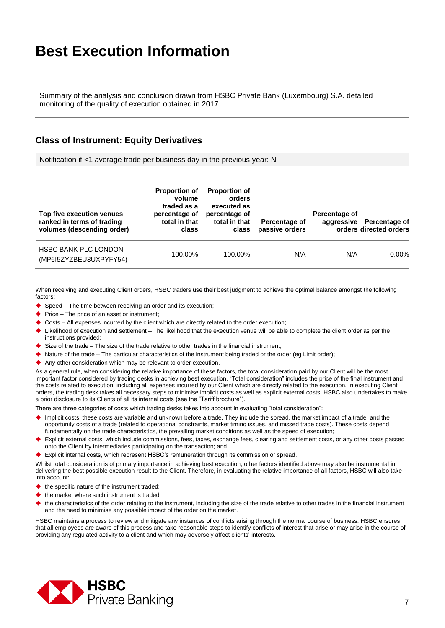Summary of the analysis and conclusion drawn from HSBC Private Bank (Luxembourg) S.A. detailed monitoring of the quality of execution obtained in 2017.

#### **Class of Instrument: Equity Derivatives**

Notification if <1 average trade per business day in the previous year: N

| Top five execution venues<br>ranked in terms of trading<br>volumes (descending order) | <b>Proportion of</b><br>volume<br>traded as a<br>percentage of<br>total in that<br>class | <b>Proportion of</b><br>orders<br>executed as<br>percentage of<br>total in that<br>class | Percentage of<br>passive orders | Percentage of | aggressive Percentage of<br>orders directed orders |
|---------------------------------------------------------------------------------------|------------------------------------------------------------------------------------------|------------------------------------------------------------------------------------------|---------------------------------|---------------|----------------------------------------------------|
| <b>HSBC BANK PLC LONDON</b><br>(MP6I5ZYZBEU3UXPYFY54)                                 | 100.00%                                                                                  | 100.00%                                                                                  | N/A                             | N/A           | $0.00\%$                                           |

When receiving and executing Client orders, HSBC traders use their best judgment to achieve the optimal balance amongst the following factors:

- ◆ Speed The time between receiving an order and its execution;
- $\blacktriangleright$  Price The price of an asset or instrument;
- ◆ Costs All expenses incurred by the client which are directly related to the order execution;
- Likelihood of execution and settlement The likelihood that the execution venue will be able to complete the client order as per the instructions provided;
- $\triangleright$  Size of the trade The size of the trade relative to other trades in the financial instrument;
- $\blacktriangleright$  Nature of the trade The particular characteristics of the instrument being traded or the order (eg Limit order);
- Any other consideration which may be relevant to order execution.

As a general rule, when considering the relative importance of these factors, the total consideration paid by our Client will be the most important factor considered by trading desks in achieving best execution. "Total consideration" includes the price of the final instrument and the costs related to execution, including all expenses incurred by our Client which are directly related to the execution. In executing Client orders, the trading desk takes all necessary steps to minimise implicit costs as well as explicit external costs. HSBC also undertakes to make a prior disclosure to its Clients of all its internal costs (see the "Tariff brochure").

There are three categories of costs which trading desks takes into account in evaluating "total consideration":

- Implicit costs: these costs are variable and unknown before a trade. They include the spread, the market impact of a trade, and the opportunity costs of a trade (related to operational constraints, market timing issues, and missed trade costs). These costs depend fundamentally on the trade characteristics, the prevailing market conditions as well as the speed of execution;
- Explicit external costs, which include commissions, fees, taxes, exchange fees, clearing and settlement costs, or any other costs passed onto the Client by intermediaries participating on the transaction; and
- Explicit internal costs, which represent HSBC's remuneration through its commission or spread.

Whilst total consideration is of primary importance in achieving best execution, other factors identified above may also be instrumental in delivering the best possible execution result to the Client. Therefore, in evaluating the relative importance of all factors, HSBC will also take into account:

- $\blacktriangleright$  the specific nature of the instrument traded;
- $\blacklozenge$  the market where such instrument is traded:
- the characteristics of the order relating to the instrument, including the size of the trade relative to other trades in the financial instrument and the need to minimise any possible impact of the order on the market.

HSBC maintains a process to review and mitigate any instances of conflicts arising through the normal course of business. HSBC ensures that all employees are aware of this process and take reasonable steps to identify conflicts of interest that arise or may arise in the course of providing any regulated activity to a client and which may adversely affect clients' interests.

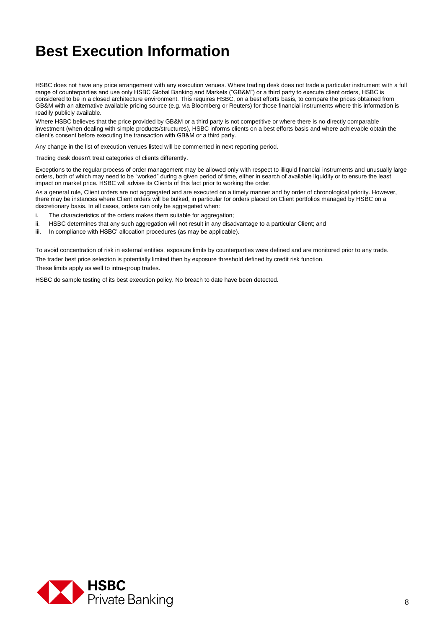HSBC does not have any price arrangement with any execution venues. Where trading desk does not trade a particular instrument with a full range of counterparties and use only HSBC Global Banking and Markets ("GB&M") or a third party to execute client orders, HSBC is considered to be in a closed architecture environment. This requires HSBC, on a best efforts basis, to compare the prices obtained from GB&M with an alternative available pricing source (e.g. via Bloomberg or Reuters) for those financial instruments where this information is readily publicly available.

Where HSBC believes that the price provided by GB&M or a third party is not competitive or where there is no directly comparable investment (when dealing with simple products/structures), HSBC informs clients on a best efforts basis and where achievable obtain the client's consent before executing the transaction with GB&M or a third party.

Any change in the list of execution venues listed will be commented in next reporting period.

Trading desk doesn't treat categories of clients differently.

Exceptions to the regular process of order management may be allowed only with respect to illiquid financial instruments and unusually large orders, both of which may need to be "worked" during a given period of time, either in search of available liquidity or to ensure the least impact on market price. HSBC will advise its Clients of this fact prior to working the order.

As a general rule, Client orders are not aggregated and are executed on a timely manner and by order of chronological priority. However, there may be instances where Client orders will be bulked, in particular for orders placed on Client portfolios managed by HSBC on a discretionary basis. In all cases, orders can only be aggregated when:

- i. The characteristics of the orders makes them suitable for aggregation;
- ii. HSBC determines that any such aggregation will not result in any disadvantage to a particular Client; and
- iii. In compliance with HSBC' allocation procedures (as may be applicable).

To avoid concentration of risk in external entities, exposure limits by counterparties were defined and are monitored prior to any trade. The trader best price selection is potentially limited then by exposure threshold defined by credit risk function.

These limits apply as well to intra-group trades.

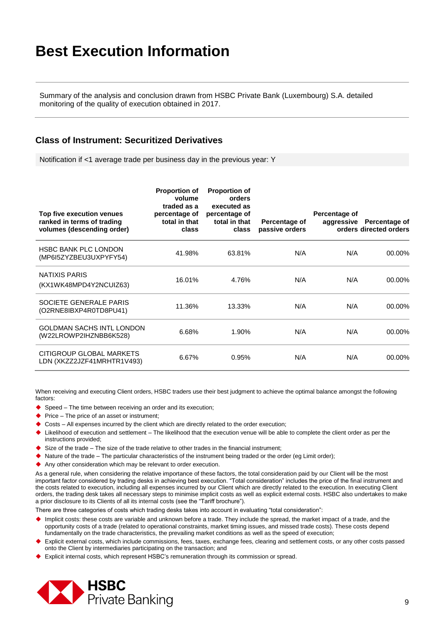Summary of the analysis and conclusion drawn from HSBC Private Bank (Luxembourg) S.A. detailed monitoring of the quality of execution obtained in 2017.

#### **Class of Instrument: Securitized Derivatives**

Notification if <1 average trade per business day in the previous year: Y

| Top five execution venues<br>ranked in terms of trading<br>volumes (descending order) | <b>Proportion of</b><br>volume<br>traded as a<br>percentage of<br>total in that<br>class | <b>Proportion of</b><br>orders<br>executed as<br>percentage of<br>total in that<br>class | Percentage of<br>passive orders | Percentage of<br>aggressive | Percentage of<br>orders directed orders |
|---------------------------------------------------------------------------------------|------------------------------------------------------------------------------------------|------------------------------------------------------------------------------------------|---------------------------------|-----------------------------|-----------------------------------------|
| <b>HSBC BANK PLC LONDON</b><br>(MP6I5ZYZBEU3UXPYFY54)                                 | 41.98%                                                                                   | 63.81%                                                                                   | N/A                             | N/A                         | $00.00\%$                               |
| NATIXIS PARIS<br>(KX1WK48MPD4Y2NCUIZ63)                                               | 16.01%                                                                                   | 4.76%                                                                                    | N/A                             | N/A                         | 00.00%                                  |
| SOCIETE GENERALE PARIS<br>(O2RNE8IBXP4R0TD8PU41)                                      | 11.36%                                                                                   | 13.33%                                                                                   | N/A                             | N/A                         | $00.00\%$                               |
| <b>GOLDMAN SACHS INTL LONDON</b><br>(W22LROWP2IHZNBB6K528)                            | 6.68%                                                                                    | 1.90%                                                                                    | N/A                             | N/A                         | 00.00%                                  |
| CITIGROUP GLOBAL MARKETS<br>LDN (XKZZ2JZF41MRHTR1V493)                                | 6.67%                                                                                    | 0.95%                                                                                    | N/A                             | N/A                         | 00.00%                                  |

When receiving and executing Client orders, HSBC traders use their best judgment to achieve the optimal balance amongst the following factors:

- Speed The time between receiving an order and its execution;
- $\blacklozenge$  Price The price of an asset or instrument;
- Costs All expenses incurred by the client which are directly related to the order execution;
- Likelihood of execution and settlement The likelihood that the execution venue will be able to complete the client order as per the instructions provided;
- $\blacklozenge$  Size of the trade The size of the trade relative to other trades in the financial instrument;
- $\blacklozenge$  Nature of the trade The particular characteristics of the instrument being traded or the order (eg Limit order);
- Any other consideration which may be relevant to order execution.

As a general rule, when considering the relative importance of these factors, the total consideration paid by our Client will be the most important factor considered by trading desks in achieving best execution. "Total consideration" includes the price of the final instrument and the costs related to execution, including all expenses incurred by our Client which are directly related to the execution. In executing Client orders, the trading desk takes all necessary steps to minimise implicit costs as well as explicit external costs. HSBC also undertakes to make a prior disclosure to its Clients of all its internal costs (see the "Tariff brochure").

- Implicit costs: these costs are variable and unknown before a trade. They include the spread, the market impact of a trade, and the opportunity costs of a trade (related to operational constraints, market timing issues, and missed trade costs). These costs depend fundamentally on the trade characteristics, the prevailing market conditions as well as the speed of execution;
- Explicit external costs, which include commissions, fees, taxes, exchange fees, clearing and settlement costs, or any other costs passed onto the Client by intermediaries participating on the transaction; and
- Explicit internal costs, which represent HSBC's remuneration through its commission or spread.

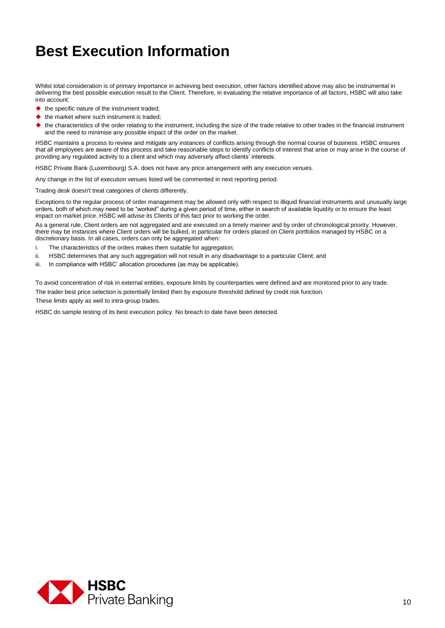Whilst total consideration is of primary importance in achieving best execution, other factors identified above may also be instrumental in delivering the best possible execution result to the Client. Therefore, in evaluating the relative importance of all factors, HSBC will also take into account:

- $\blacklozenge$  the specific nature of the instrument traded;
- $\blacklozenge$  the market where such instrument is traded;
- the characteristics of the order relating to the instrument, including the size of the trade relative to other trades in the financial instrument and the need to minimise any possible impact of the order on the market.

HSBC maintains a process to review and mitigate any instances of conflicts arising through the normal course of business. HSBC ensures that all employees are aware of this process and take reasonable steps to identify conflicts of interest that arise or may arise in the course of providing any regulated activity to a client and which may adversely affect clients' interests.

HSBC Private Bank (Luxembourg) S.A. does not have any price arrangement with any execution venues.

Any change in the list of execution venues listed will be commented in next reporting period.

Trading desk doesn't treat categories of clients differently.

Exceptions to the regular process of order management may be allowed only with respect to illiquid financial instruments and unusually large orders, both of which may need to be "worked" during a given period of time, either in search of available liquidity or to ensure the least impact on market price. HSBC will advise its Clients of this fact prior to working the order.

As a general rule, Client orders are not aggregated and are executed on a timely manner and by order of chronological priority. However, there may be instances where Client orders will be bulked, in particular for orders placed on Client portfolios managed by HSBC on a discretionary basis. In all cases, orders can only be aggregated when:

- i. The characteristics of the orders makes them suitable for aggregation;
- ii. HSBC determines that any such aggregation will not result in any disadvantage to a particular Client; and
- iii. In compliance with HSBC' allocation procedures (as may be applicable).

To avoid concentration of risk in external entities, exposure limits by counterparties were defined and are monitored prior to any trade. The trader best price selection is potentially limited then by exposure threshold defined by credit risk function.

These limits apply as well to intra-group trades.

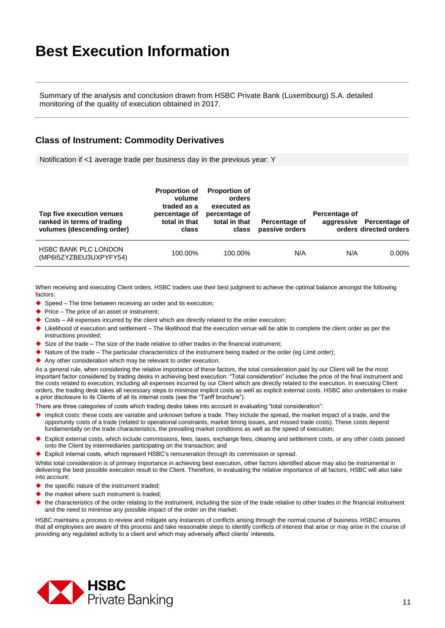Summary of the analysis and conclusion drawn from HSBC Private Bank (Luxembourg) S.A. detailed monitoring of the quality of execution obtained in 2017.

#### **Class of Instrument: Commodity Derivatives**

Notification if <1 average trade per business day in the previous year: Y

| Top five execution venues<br>ranked in terms of trading<br>volumes (descending order) | <b>Proportion of</b><br>volume<br>traded as a<br>percentage of<br>total in that<br>class | <b>Proportion of</b><br>orders<br>executed as<br>percentage of<br>total in that<br>class | Percentage of<br>passive orders | Percentage of | aggressive Percentage of<br>orders directed orders |
|---------------------------------------------------------------------------------------|------------------------------------------------------------------------------------------|------------------------------------------------------------------------------------------|---------------------------------|---------------|----------------------------------------------------|
| <b>HSBC BANK PLC LONDON</b><br>(MP6I5ZYZBEU3UXPYFY54)                                 | 100.00%                                                                                  | 100.00%                                                                                  | N/A                             | N/A           | $0.00\%$                                           |

When receiving and executing Client orders, HSBC traders use their best judgment to achieve the optimal balance amongst the following factors:

- $\blacklozenge$  Speed The time between receiving an order and its execution;
- $\bullet$  Price The price of an asset or instrument:
- Costs All expenses incurred by the client which are directly related to the order execution;
- Likelihood of execution and settlement The likelihood that the execution venue will be able to complete the client order as per the instructions provided;
- $\blacklozenge$  Size of the trade The size of the trade relative to other trades in the financial instrument;
- $\blacktriangleright$  Nature of the trade The particular characteristics of the instrument being traded or the order (eq Limit order);
- Any other consideration which may be relevant to order execution.

As a general rule, when considering the relative importance of these factors, the total consideration paid by our Client will be the most important factor considered by trading desks in achieving best execution. "Total consideration" includes the price of the final instrument and the costs related to execution, including all expenses incurred by our Client which are directly related to the execution. In executing Client orders, the trading desk takes all necessary steps to minimise implicit costs as well as explicit external costs. HSBC also undertakes to make a prior disclosure to its Clients of all its internal costs (see the "Tariff brochure").

There are three categories of costs which trading desks takes into account in evaluating "total consideration":

- Implicit costs: these costs are variable and unknown before a trade. They include the spread, the market impact of a trade, and the opportunity costs of a trade (related to operational constraints, market timing issues, and missed trade costs). These costs depend fundamentally on the trade characteristics, the prevailing market conditions as well as the speed of execution;
- Explicit external costs, which include commissions, fees, taxes, exchange fees, clearing and settlement costs, or any other costs passed onto the Client by intermediaries participating on the transaction; and
- Explicit internal costs, which represent HSBC's remuneration through its commission or spread.

Whilst total consideration is of primary importance in achieving best execution, other factors identified above may also be instrumental in delivering the best possible execution result to the Client. Therefore, in evaluating the relative importance of all factors, HSBC will also take into account:

- $\blacktriangleright$  the specific nature of the instrument traded:
- $\bullet$  the market where such instrument is traded:
- the characteristics of the order relating to the instrument, including the size of the trade relative to other trades in the financial instrument and the need to minimise any possible impact of the order on the market.

HSBC maintains a process to review and mitigate any instances of conflicts arising through the normal course of business. HSBC ensures that all employees are aware of this process and take reasonable steps to identify conflicts of interest that arise or may arise in the course of providing any regulated activity to a client and which may adversely affect clients' interests.

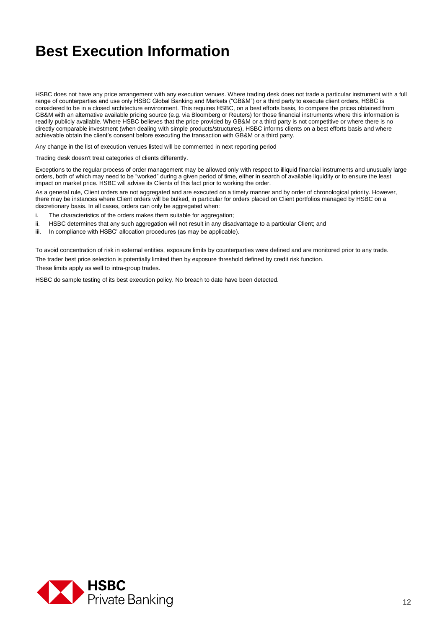HSBC does not have any price arrangement with any execution venues. Where trading desk does not trade a particular instrument with a full range of counterparties and use only HSBC Global Banking and Markets ("GB&M") or a third party to execute client orders, HSBC is considered to be in a closed architecture environment. This requires HSBC, on a best efforts basis, to compare the prices obtained from GB&M with an alternative available pricing source (e.g. via Bloomberg or Reuters) for those financial instruments where this information is readily publicly available. Where HSBC believes that the price provided by GB&M or a third party is not competitive or where there is no directly comparable investment (when dealing with simple products/structures), HSBC informs clients on a best efforts basis and where achievable obtain the client's consent before executing the transaction with GB&M or a third party.

Any change in the list of execution venues listed will be commented in next reporting period

Trading desk doesn't treat categories of clients differently.

Exceptions to the regular process of order management may be allowed only with respect to illiquid financial instruments and unusually large orders, both of which may need to be "worked" during a given period of time, either in search of available liquidity or to ensure the least impact on market price. HSBC will advise its Clients of this fact prior to working the order.

As a general rule, Client orders are not aggregated and are executed on a timely manner and by order of chronological priority. However, there may be instances where Client orders will be bulked, in particular for orders placed on Client portfolios managed by HSBC on a discretionary basis. In all cases, orders can only be aggregated when:

- i. The characteristics of the orders makes them suitable for aggregation;
- ii. HSBC determines that any such aggregation will not result in any disadvantage to a particular Client; and
- iii. In compliance with HSBC' allocation procedures (as may be applicable).

To avoid concentration of risk in external entities, exposure limits by counterparties were defined and are monitored prior to any trade. The trader best price selection is potentially limited then by exposure threshold defined by credit risk function. These limits apply as well to intra-group trades.

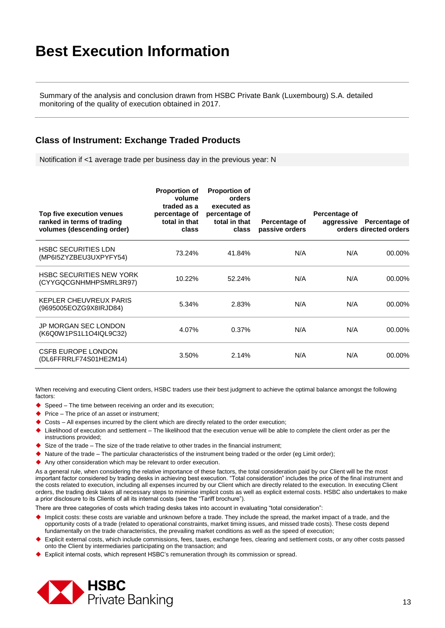Summary of the analysis and conclusion drawn from HSBC Private Bank (Luxembourg) S.A. detailed monitoring of the quality of execution obtained in 2017.

#### **Class of Instrument: Exchange Traded Products**

Notification if <1 average trade per business day in the previous year: N

| Top five execution venues<br>ranked in terms of trading<br>volumes (descending order) | <b>Proportion of</b><br>volume<br>traded as a<br>percentage of<br>total in that<br>class | <b>Proportion of</b><br>orders<br>executed as<br>percentage of<br>total in that<br>class | Percentage of<br>passive orders | Percentage of<br>aggressive | Percentage of<br>orders directed orders |
|---------------------------------------------------------------------------------------|------------------------------------------------------------------------------------------|------------------------------------------------------------------------------------------|---------------------------------|-----------------------------|-----------------------------------------|
| <b>HSBC SECURITIES LDN</b><br>(MP6I5ZYZBEU3UXPYFY54)                                  | 73.24%                                                                                   | 41.84%                                                                                   | N/A                             | N/A                         | 00.00%                                  |
| <b>HSBC SECURITIES NEW YORK</b><br>(CYYGQCGNHMHPSMRL3R97)                             | 10.22%                                                                                   | 52.24%                                                                                   | N/A                             | N/A                         | 00.00%                                  |
| KEPLER CHEUVREUX PARIS<br>(9695005EOZG9X8IRJD84)                                      | 5.34%                                                                                    | 2.83%                                                                                    | N/A                             | N/A                         | 00.00%                                  |
| JP MORGAN SEC LONDON<br>(K6Q0W1PS1L1O4IQL9C32)                                        | 4.07%                                                                                    | 0.37%                                                                                    | N/A                             | N/A                         | 00.00%                                  |
| <b>CSFB EUROPE LONDON</b><br>(DL6FFRRLF74S01HE2M14)                                   | 3.50%                                                                                    | 2.14%                                                                                    | N/A                             | N/A                         | $00.00\%$                               |

When receiving and executing Client orders, HSBC traders use their best judgment to achieve the optimal balance amongst the following factors:

- ◆ Speed The time between receiving an order and its execution;
- $\blacklozenge$  Price The price of an asset or instrument;
- Costs All expenses incurred by the client which are directly related to the order execution;
- Likelihood of execution and settlement The likelihood that the execution venue will be able to complete the client order as per the instructions provided;
- $\blacklozenge$  Size of the trade The size of the trade relative to other trades in the financial instrument;
- $\blacktriangleright$  Nature of the trade The particular characteristics of the instrument being traded or the order (eg Limit order);
- Any other consideration which may be relevant to order execution.

As a general rule, when considering the relative importance of these factors, the total consideration paid by our Client will be the most important factor considered by trading desks in achieving best execution. "Total consideration" includes the price of the final instrument and the costs related to execution, including all expenses incurred by our Client which are directly related to the execution. In executing Client orders, the trading desk takes all necessary steps to minimise implicit costs as well as explicit external costs. HSBC also undertakes to make a prior disclosure to its Clients of all its internal costs (see the "Tariff brochure").

- Implicit costs: these costs are variable and unknown before a trade. They include the spread, the market impact of a trade, and the opportunity costs of a trade (related to operational constraints, market timing issues, and missed trade costs). These costs depend fundamentally on the trade characteristics, the prevailing market conditions as well as the speed of execution;
- Explicit external costs, which include commissions, fees, taxes, exchange fees, clearing and settlement costs, or any other costs passed onto the Client by intermediaries participating on the transaction; and
- Explicit internal costs, which represent HSBC's remuneration through its commission or spread.

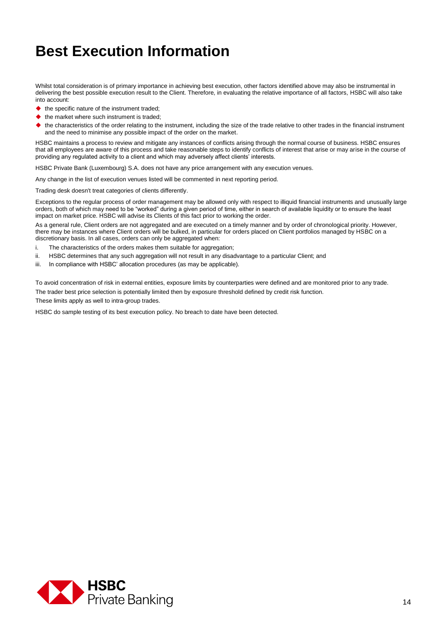Whilst total consideration is of primary importance in achieving best execution, other factors identified above may also be instrumental in delivering the best possible execution result to the Client. Therefore, in evaluating the relative importance of all factors, HSBC will also take into account:

- $\blacklozenge$  the specific nature of the instrument traded;
- $\blacklozenge$  the market where such instrument is traded;
- the characteristics of the order relating to the instrument, including the size of the trade relative to other trades in the financial instrument and the need to minimise any possible impact of the order on the market.

HSBC maintains a process to review and mitigate any instances of conflicts arising through the normal course of business. HSBC ensures that all employees are aware of this process and take reasonable steps to identify conflicts of interest that arise or may arise in the course of providing any regulated activity to a client and which may adversely affect clients' interests.

HSBC Private Bank (Luxembourg) S.A. does not have any price arrangement with any execution venues.

Any change in the list of execution venues listed will be commented in next reporting period.

Trading desk doesn't treat categories of clients differently.

Exceptions to the regular process of order management may be allowed only with respect to illiquid financial instruments and unusually large orders, both of which may need to be "worked" during a given period of time, either in search of available liquidity or to ensure the least impact on market price. HSBC will advise its Clients of this fact prior to working the order.

As a general rule, Client orders are not aggregated and are executed on a timely manner and by order of chronological priority. However, there may be instances where Client orders will be bulked, in particular for orders placed on Client portfolios managed by HSBC on a discretionary basis. In all cases, orders can only be aggregated when:

- i. The characteristics of the orders makes them suitable for aggregation;
- ii. HSBC determines that any such aggregation will not result in any disadvantage to a particular Client; and
- iii. In compliance with HSBC' allocation procedures (as may be applicable).

To avoid concentration of risk in external entities, exposure limits by counterparties were defined and are monitored prior to any trade. The trader best price selection is potentially limited then by exposure threshold defined by credit risk function.

These limits apply as well to intra-group trades.

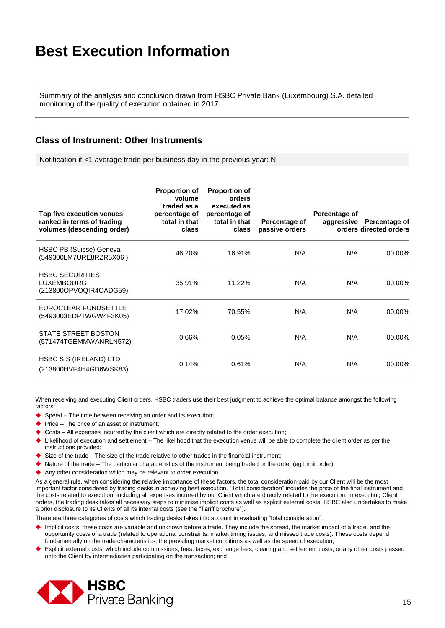Summary of the analysis and conclusion drawn from HSBC Private Bank (Luxembourg) S.A. detailed monitoring of the quality of execution obtained in 2017.

#### **Class of Instrument: Other Instruments**

Notification if <1 average trade per business day in the previous year: N

| Top five execution venues<br>ranked in terms of trading<br>volumes (descending order) | <b>Proportion of</b><br>volume<br>traded as a<br>percentage of<br>total in that<br>class | <b>Proportion of</b><br>orders<br>executed as<br>percentage of<br>total in that<br>class | Percentage of<br>passive orders | Percentage of<br>aggressive | Percentage of<br>orders directed orders |
|---------------------------------------------------------------------------------------|------------------------------------------------------------------------------------------|------------------------------------------------------------------------------------------|---------------------------------|-----------------------------|-----------------------------------------|
| HSBC PB (Suisse) Geneva<br>(549300LM7URE8RZR5X06)                                     | 46.20%                                                                                   | 16.91%                                                                                   | N/A                             | N/A                         | 00.00%                                  |
| <b>HSBC SECURITIES</b><br><b>LUXEMBOURG</b><br>(213800OPVOQIR4OADG59)                 | 35.91%                                                                                   | 11.22%                                                                                   | N/A                             | N/A                         | 00.00%                                  |
| EUROCLEAR FUNDSETTLE<br>(5493003EDPTWGW4F3K05)                                        | 17.02%                                                                                   | 70.55%                                                                                   | N/A                             | N/A                         | 00.00%                                  |
| <b>STATE STREET BOSTON</b><br>(571474TGEMMWANRLN572)                                  | 0.66%                                                                                    | 0.05%                                                                                    | N/A                             | N/A                         | 00.00%                                  |
| HSBC S.S (IRELAND) LTD<br>(213800HVF4H4GD6WSK83)                                      | 0.14%                                                                                    | 0.61%                                                                                    | N/A                             | N/A                         | 00.00%                                  |

When receiving and executing Client orders, HSBC traders use their best judgment to achieve the optimal balance amongst the following factors:

- ◆ Speed The time between receiving an order and its execution;
- $\blacktriangleright$  Price The price of an asset or instrument;
- $\triangleright$  Costs All expenses incurred by the client which are directly related to the order execution;
- Likelihood of execution and settlement The likelihood that the execution venue will be able to complete the client order as per the instructions provided;
- Size of the trade The size of the trade relative to other trades in the financial instrument;
- Nature of the trade The particular characteristics of the instrument being traded or the order (eg Limit order);
- Any other consideration which may be relevant to order execution.

As a general rule, when considering the relative importance of these factors, the total consideration paid by our Client will be the most important factor considered by trading desks in achieving best execution. "Total consideration" includes the price of the final instrument and the costs related to execution, including all expenses incurred by our Client which are directly related to the execution. In executing Client orders, the trading desk takes all necessary steps to minimise implicit costs as well as explicit external costs. HSBC also undertakes to make a prior disclosure to its Clients of all its internal costs (see the "Tariff brochure").

- Implicit costs: these costs are variable and unknown before a trade. They include the spread, the market impact of a trade, and the opportunity costs of a trade (related to operational constraints, market timing issues, and missed trade costs). These costs depend fundamentally on the trade characteristics, the prevailing market conditions as well as the speed of execution;
- Explicit external costs, which include commissions, fees, taxes, exchange fees, clearing and settlement costs, or any other costs passed onto the Client by intermediaries participating on the transaction; and

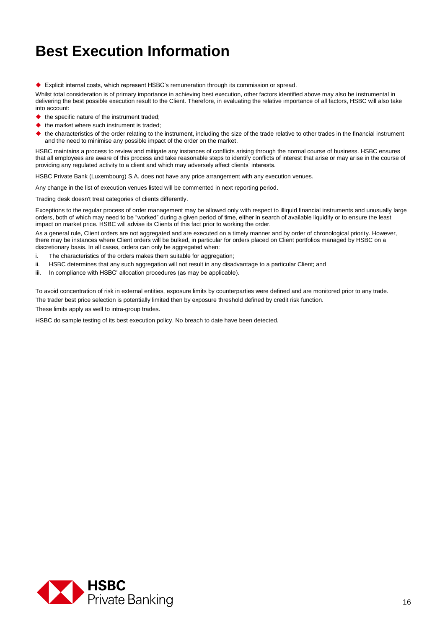Explicit internal costs, which represent HSBC's remuneration through its commission or spread.

Whilst total consideration is of primary importance in achieving best execution, other factors identified above may also be instrumental in delivering the best possible execution result to the Client. Therefore, in evaluating the relative importance of all factors, HSBC will also take into account:

- the specific nature of the instrument traded;
- the market where such instrument is traded;
- the characteristics of the order relating to the instrument, including the size of the trade relative to other trades in the financial instrument and the need to minimise any possible impact of the order on the market.

HSBC maintains a process to review and mitigate any instances of conflicts arising through the normal course of business. HSBC ensures that all employees are aware of this process and take reasonable steps to identify conflicts of interest that arise or may arise in the course of providing any regulated activity to a client and which may adversely affect clients' interests.

HSBC Private Bank (Luxembourg) S.A. does not have any price arrangement with any execution venues.

Any change in the list of execution venues listed will be commented in next reporting period.

Trading desk doesn't treat categories of clients differently.

Exceptions to the regular process of order management may be allowed only with respect to illiquid financial instruments and unusually large orders, both of which may need to be "worked" during a given period of time, either in search of available liquidity or to ensure the least impact on market price. HSBC will advise its Clients of this fact prior to working the order.

As a general rule, Client orders are not aggregated and are executed on a timely manner and by order of chronological priority. However, there may be instances where Client orders will be bulked, in particular for orders placed on Client portfolios managed by HSBC on a discretionary basis. In all cases, orders can only be aggregated when:

- i. The characteristics of the orders makes them suitable for aggregation;
- ii. HSBC determines that any such aggregation will not result in any disadvantage to a particular Client; and
- iii. In compliance with HSBC' allocation procedures (as may be applicable).

To avoid concentration of risk in external entities, exposure limits by counterparties were defined and are monitored prior to any trade. The trader best price selection is potentially limited then by exposure threshold defined by credit risk function.

These limits apply as well to intra-group trades.